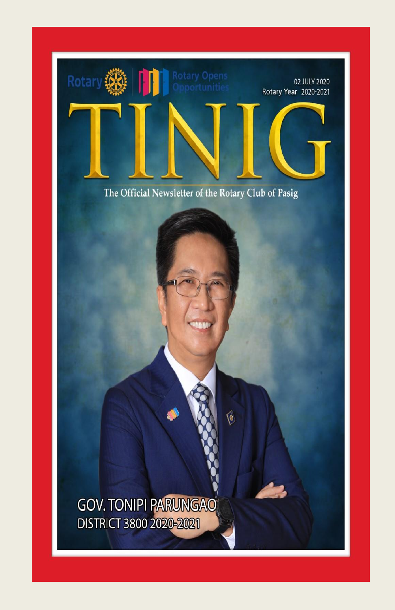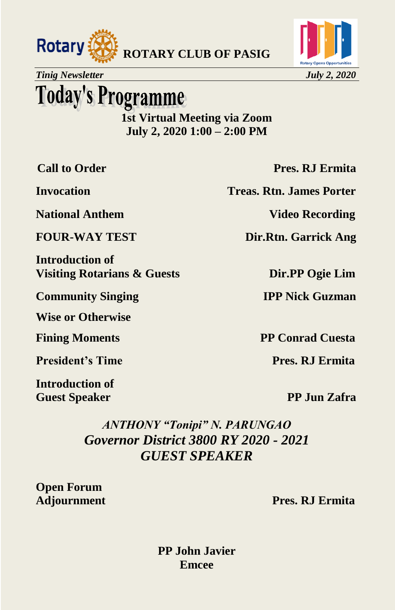



*Tinig Newsletter July 2, 2020* 

**Today's Programme** 

**1st Virtual Meeting via Zoom July 2, 2020 1:00 – 2:00 PM** 

**Introduction of Visiting Rotarians & Guests Dir.PP Ogie Lim** 

**Community Singing IPP Nick Guzman** 

**Wise or Otherwise** 

**President's Time Pres. RJ Ermita** 

**Introduction of Guest Speaker PP Jun Zafra** *PP* **Jun Zafra** 

**Call to Order Pres. RJ Ermita** 

**Invocation Invocation Treas. Rtn. James Porter** 

**FOUR-WAY TEST** Dir.Rtn. Garrick Ang

**Fining Moments** PP Conrad Cuesta

### *ANTHONY "Tonipi" N. PARUNGAO Governor District 3800 RY 2020 - 2021 GUEST SPEAKER*

**Open Forum** 

**Adjournment Pres. RJ Ermita** 

**PP John Javier Emcee** 

**National Anthem Video Recording**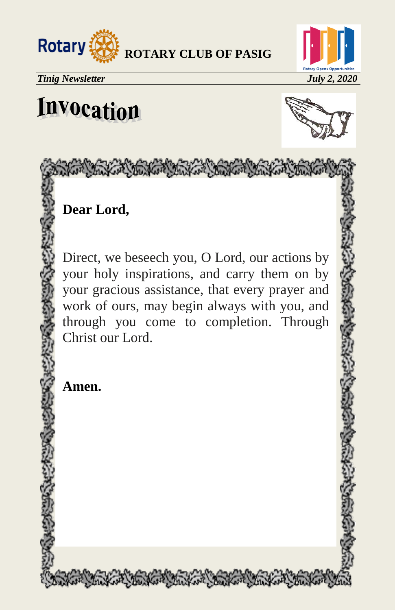



# Invocation



### **Dear Lord,**

Direct, we beseech you, O Lord, our actions by your holy inspirations, and carry them on by your gracious assistance, that every prayer and work of ours, may begin always with you, and through you come to completion. Through Christ our Lord.

Com the South And The Company of the Trans

**Amen.**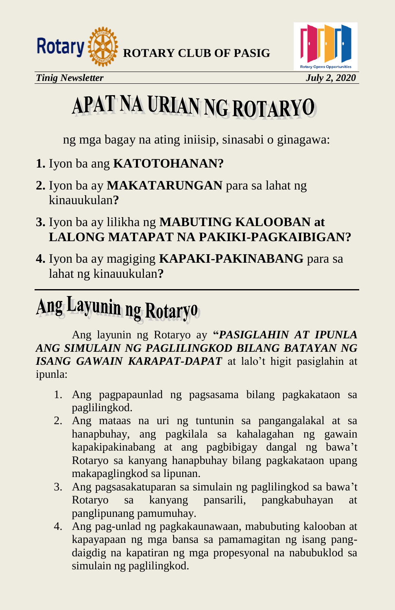





# APAT NA URIAN NG ROTARYO

ng mga bagay na ating iniisip, sinasabi o ginagawa:

- **1.** Iyon ba ang **KATOTOHANAN?**
- **2.** Iyon ba ay **MAKATARUNGAN** para sa lahat ng kinauukulan**?**
- **3.** Iyon ba ay lilikha ng **MABUTING KALOOBAN at LALONG MATAPAT NA PAKIKI-PAGKAIBIGAN?**
- **4.** Iyon ba ay magiging **KAPAKI-PAKINABANG** para sa lahat ng kinauukulan**?**

## Ang Layunin ng Rotaryo

Ang layunin ng Rotaryo ay **"***PASIGLAHIN AT IPUNLA ANG SIMULAIN NG PAGLILINGKOD BILANG BATAYAN NG ISANG GAWAIN KARAPAT-DAPAT* at lalo't higit pasiglahin at ipunla:

- 1. Ang pagpapaunlad ng pagsasama bilang pagkakataon sa paglilingkod.
- 2. Ang mataas na uri ng tuntunin sa pangangalakal at sa hanapbuhay, ang pagkilala sa kahalagahan ng gawain kapakipakinabang at ang pagbibigay dangal ng bawa't Rotaryo sa kanyang hanapbuhay bilang pagkakataon upang makapaglingkod sa lipunan.
- 3. Ang pagsasakatuparan sa simulain ng paglilingkod sa bawa't Rotaryo sa kanyang pansarili, pangkabuhayan at panglipunang pamumuhay.
- 4. Ang pag-unlad ng pagkakaunawaan, mabubuting kalooban at kapayapaan ng mga bansa sa pamamagitan ng isang pangdaigdig na kapatiran ng mga propesyonal na nabubuklod sa simulain ng paglilingkod.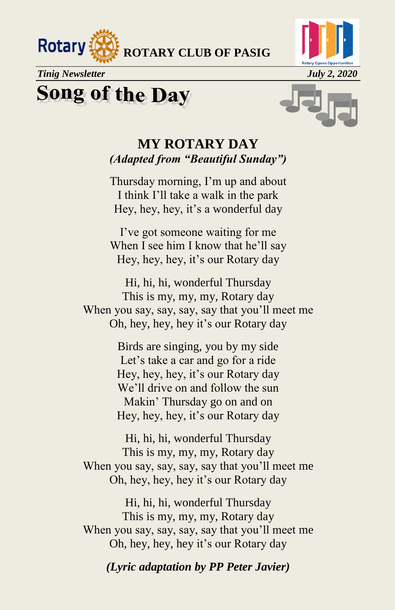



### **Song of the Day**



### **MY ROTARY DAY** *(Adapted from "Beautiful Sunday")*

Thursday morning, I'm up and about I think I'll take a walk in the park Hey, hey, hey, it's a wonderful day

I've got someone waiting for me When I see him I know that he'll say Hey, hey, hey, it's our Rotary day

Hi, hi, hi, wonderful Thursday This is my, my, my, Rotary day When you say, say, say, say that you'll meet me Oh, hey, hey, hey it's our Rotary day

> Birds are singing, you by my side Let's take a car and go for a ride Hey, hey, hey, it's our Rotary day We'll drive on and follow the sun Makin' Thursday go on and on Hey, hey, hey, it's our Rotary day

Hi, hi, hi, wonderful Thursday This is my, my, my, Rotary day When you say, say, say, say that you'll meet me Oh, hey, hey, hey it's our Rotary day

Hi, hi, hi, wonderful Thursday This is my, my, my, Rotary day When you say, say, say, say that you'll meet me Oh, hey, hey, hey it's our Rotary day

*(Lyric adaptation by PP Peter Javier)*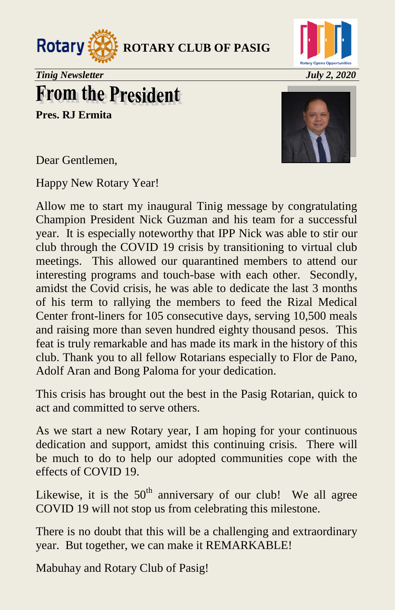



### **From the President**

**Pres. RJ Ermita**



Dear Gentlemen,

Happy New Rotary Year!

Allow me to start my inaugural Tinig message by congratulating Champion President Nick Guzman and his team for a successful year. It is especially noteworthy that IPP Nick was able to stir our club through the COVID 19 crisis by transitioning to virtual club meetings. This allowed our quarantined members to attend our interesting programs and touch-base with each other. Secondly, amidst the Covid crisis, he was able to dedicate the last 3 months of his term to rallying the members to feed the Rizal Medical Center front-liners for 105 consecutive days, serving 10,500 meals and raising more than seven hundred eighty thousand pesos. This feat is truly remarkable and has made its mark in the history of this club. Thank you to all fellow Rotarians especially to Flor de Pano, Adolf Aran and Bong Paloma for your dedication.

This crisis has brought out the best in the Pasig Rotarian, quick to act and committed to serve others.

As we start a new Rotary year, I am hoping for your continuous dedication and support, amidst this continuing crisis. There will be much to do to help our adopted communities cope with the effects of COVID 19.

Likewise, it is the  $50<sup>th</sup>$  anniversary of our club! We all agree COVID 19 will not stop us from celebrating this milestone.

There is no doubt that this will be a challenging and extraordinary year. But together, we can make it REMARKABLE!

Mabuhay and Rotary Club of Pasig!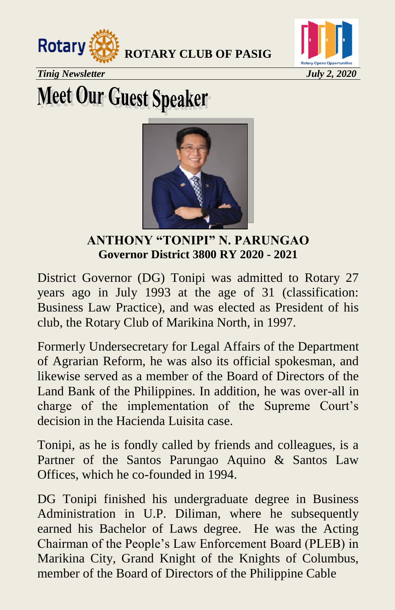



*Tinig Newsletter* July 2, 2020

## **Meet Our Guest Speaker**



**ANTHONY "TONIPI" N. PARUNGAO Governor District 3800 RY 2020 - 2021** 

District Governor (DG) Tonipi was admitted to Rotary 27 years ago in July 1993 at the age of 31 (classification: Business Law Practice), and was elected as President of his club, the Rotary Club of Marikina North, in 1997.

Formerly Undersecretary for Legal Affairs of the Department of Agrarian Reform, he was also its official spokesman, and likewise served as a member of the Board of Directors of the Land Bank of the Philippines. In addition, he was over-all in charge of the implementation of the Supreme Court's decision in the Hacienda Luisita case.

Tonipi, as he is fondly called by friends and colleagues, is a Partner of the Santos Parungao Aquino & Santos Law Offices, which he co-founded in 1994.

DG Tonipi finished his undergraduate degree in Business Administration in U.P. Diliman, where he subsequently earned his Bachelor of Laws degree. He was the Acting Chairman of the People's Law Enforcement Board (PLEB) in Marikina City, Grand Knight of the Knights of Columbus, member of the Board of Directors of the Philippine Cable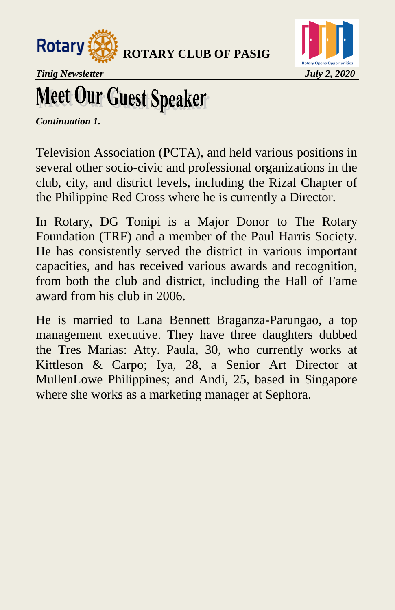



*Tinig Newsletter* July 2, 2020

## **Meet Our Guest Speaker**

*Continuation 1.*

Television Association (PCTA), and held various positions in several other socio-civic and professional organizations in the club, city, and district levels, including the Rizal Chapter of the Philippine Red Cross where he is currently a Director.

In Rotary, DG Tonipi is a Major Donor to The Rotary Foundation (TRF) and a member of the Paul Harris Society. He has consistently served the district in various important capacities, and has received various awards and recognition, from both the club and district, including the Hall of Fame award from his club in 2006.

He is married to Lana Bennett Braganza-Parungao, a top management executive. They have three daughters dubbed the Tres Marias: Atty. Paula, 30, who currently works at Kittleson & Carpo; Iya, 28, a Senior Art Director at MullenLowe Philippines; and Andi, 25, based in Singapore where she works as a marketing manager at Sephora.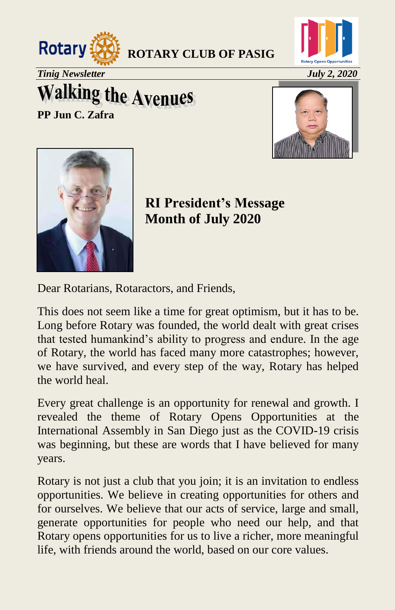



*Tinig Newsletter July 2, 2020* 

### **Walking the Avenues PP Jun C. Zafra**





**RI President's Message Month of July 2020**

Dear Rotarians, Rotaractors, and Friends,

This does not seem like a time for great optimism, but it has to be. Long before Rotary was founded, the world dealt with great crises that tested humankind's ability to progress and endure. In the age of Rotary, the world has faced many more catastrophes; however, we have survived, and every step of the way, Rotary has helped the world heal.

Every great challenge is an opportunity for renewal and growth. I revealed the theme of Rotary Opens Opportunities at the International Assembly in San Diego just as the COVID-19 crisis was beginning, but these are words that I have believed for many years.

Rotary is not just a club that you join; it is an invitation to endless opportunities. We believe in creating opportunities for others and for ourselves. We believe that our acts of service, large and small, generate opportunities for people who need our help, and that Rotary opens opportunities for us to live a richer, more meaningful life, with friends around the world, based on our core values.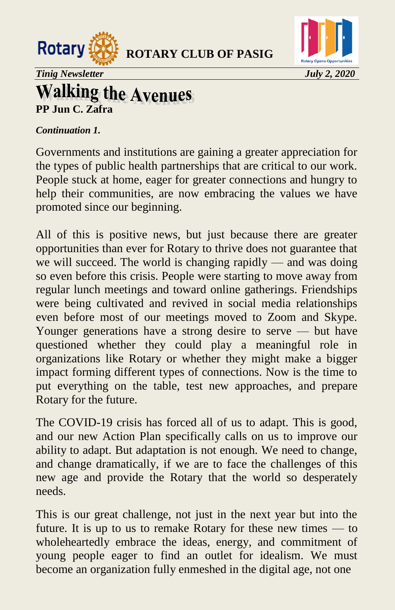



*Tinig Newsletter* July 2, 2020

# **Walking the Avenues**

#### *Continuation 1.*

Governments and institutions are gaining a greater appreciation for the types of public health partnerships that are critical to our work. People stuck at home, eager for greater connections and hungry to help their communities, are now embracing the values we have promoted since our beginning.

All of this is positive news, but just because there are greater opportunities than ever for Rotary to thrive does not guarantee that we will succeed. The world is changing rapidly — and was doing so even before this crisis. People were starting to move away from regular lunch meetings and toward online gatherings. Friendships were being cultivated and revived in social media relationships even before most of our meetings moved to Zoom and Skype. Younger generations have a strong desire to serve — but have questioned whether they could play a meaningful role in organizations like Rotary or whether they might make a bigger impact forming different types of connections. Now is the time to put everything on the table, test new approaches, and prepare Rotary for the future.

The COVID-19 crisis has forced all of us to adapt. This is good, and our new Action Plan specifically calls on us to improve our ability to adapt. But adaptation is not enough. We need to change, and change dramatically, if we are to face the challenges of this new age and provide the Rotary that the world so desperately needs.

This is our great challenge, not just in the next year but into the future. It is up to us to remake Rotary for these new times — to wholeheartedly embrace the ideas, energy, and commitment of young people eager to find an outlet for idealism. We must become an organization fully enmeshed in the digital age, not one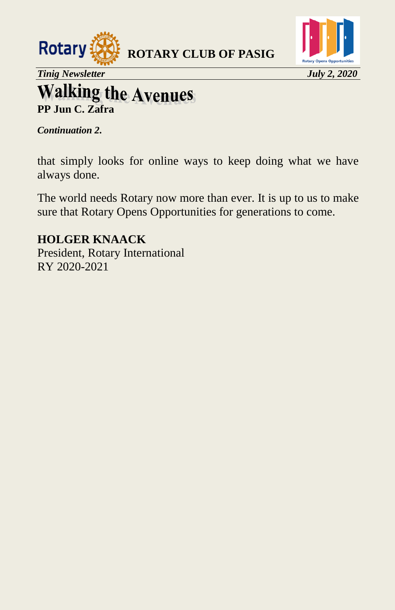



*Tinig Newsletter July 2, 2020* 

# **Walking the Avenues**<br>PP Jun C. Zafra

*Continuation 2.* 

that simply looks for online ways to keep doing what we have always done.

The world needs Rotary now more than ever. It is up to us to make sure that Rotary Opens Opportunities for generations to come.

**HOLGER KNAACK**  President, Rotary International RY 2020-2021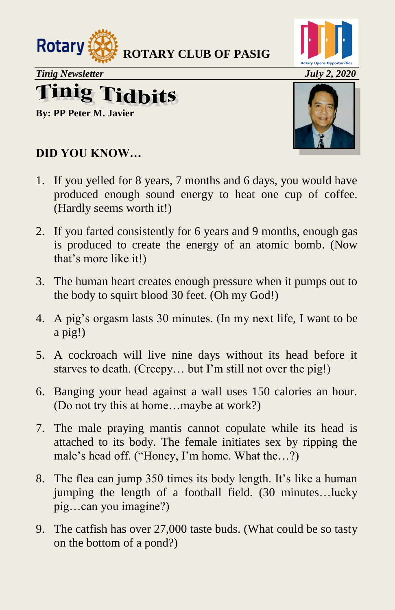



*Tinig Newsletter July 2, 2020* 

## **Tinig Tidbits**

**By: PP Peter M. Javier**

### **DID YOU KNOW…**

- 1. If you yelled for 8 years, 7 months and 6 days, you would have produced enough sound energy to heat one cup of coffee. (Hardly seems worth it!)
- 2. If you farted consistently for 6 years and 9 months, enough gas is produced to create the energy of an atomic bomb. (Now that's more like it!)
- 3. The human heart creates enough pressure when it pumps out to the body to squirt blood 30 feet. (Oh my God!)
- 4. A pig's orgasm lasts 30 minutes. (In my next life, I want to be a pig!)
- 5. A cockroach will live nine days without its head before it starves to death. (Creepy… but I'm still not over the pig!)
- 6. Banging your head against a wall uses 150 calories an hour. (Do not try this at home…maybe at work?)
- 7. The male praying mantis cannot copulate while its head is attached to its body. The female initiates sex by ripping the male's head off. ("Honey, I'm home. What the…?)
- 8. The flea can jump 350 times its body length. It's like a human jumping the length of a football field. (30 minutes…lucky pig…can you imagine?)
- 9. The catfish has over 27,000 taste buds. (What could be so tasty on the bottom of a pond?)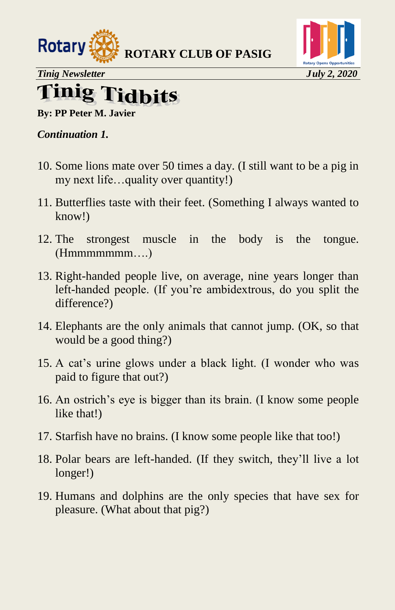



*Tinig Newsletter July 2, 2020* 

### **Tinig Tidbits**

#### **By: PP Peter M. Javier**

#### *Continuation 1.*

- 10. Some lions mate over 50 times a day. (I still want to be a pig in my next life…quality over quantity!)
- 11. Butterflies taste with their feet. (Something I always wanted to know!)
- 12. The strongest muscle in the body is the tongue. (Hmmmmmmm….)
- 13. Right-handed people live, on average, nine years longer than left-handed people. (If you're ambidextrous, do you split the difference?)
- 14. Elephants are the only animals that cannot jump. (OK, so that would be a good thing?)
- 15. A cat's urine glows under a black light. (I wonder who was paid to figure that out?)
- 16. An ostrich's eye is bigger than its brain. (I know some people like that!)
- 17. Starfish have no brains. (I know some people like that too!)
- 18. Polar bears are left-handed. (If they switch, they'll live a lot longer!)
- 19. Humans and dolphins are the only species that have sex for pleasure. (What about that pig?)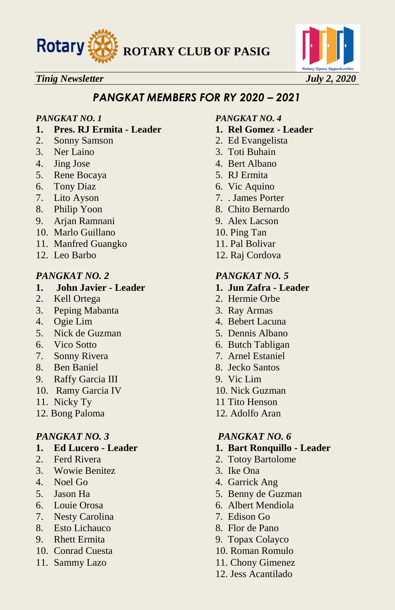



#### *PANGKAT MEMBERS FOR RY 2020 – 2021*

- **1. Pres. RJ Ermita - Leader 1. Rel Gomez - Leader**
- 2. Sonny Samson 2. Ed Evangelista
- 3. Ner Laino 3. Toti Buhain
- 
- 5. Rene Bocaya 5. RJ Ermita
- 
- 
- 
- 9. Arjan Ramnani 9. Alex Lacson
- 10. Marlo Guillano 10. Ping Tan
- 11. Manfred Guangko 11. Pal Bolivar
- 

#### **1. John Javier - Leader 1. Jun Zafra - Leader**

- 2. Kell Ortega 2. Hermie Orbe
- 3. Peping Mabanta 3. Ray Armas
- 
- 5. Nick de Guzman 5. Dennis Albano
- 
- 7. Sonny Rivera 7. Arnel Estaniel
- 8. Ben Baniel 8. Jecko Santos
- 9. Raffy Garcia III 9. Vic Lim
- 10. Ramy Garcia IV 10. Nick Guzman
- 
- 12. Bong Paloma 12. Adolfo Aran

- 
- 
- 3. Wowie Benitez 3. Ike Ona
- 
- 
- 
- 7. Nesty Carolina 7. Edison Go
- 8. Esto Lichauco 8. Flor de Pano
- 
- 
- 

#### *PANGKAT NO. 1 PANGKAT NO. 4*

- 
- 
- 
- 4. Jing Jose 4. Bert Albano
	-
- 6. Tony Diaz 6. Vic Aquino
- 7. Lito Ayson 7. . James Porter
- 8. Philip Yoon 8. Chito Bernardo
	-
	-
	-
- 12. Leo Barbo 12. Raj Cordova

#### *PANGKAT NO. 2 PANGKAT NO. 5*

- 
- 
- 
- 4. Ogie Lim 4. Bebert Lacuna
	-
- 6. Vico Sotto 6. Butch Tabligan
	-
	-
	-
	-
- 11. Nicky Ty 11 Tito Henson
	-

#### *PANGKAT NO. 3 PANGKAT NO. 6*

- **1. Ed Lucero - Leader 1. Bart Ronquillo - Leader**
- 2. Ferd Rivera 2. Totoy Bartolome
	-
- 4. Noel Go 4. Garrick Ang
- 5. Jason Ha 5. Benny de Guzman
- 6. Louie Orosa 6. Albert Mendiola
	-
	-
- 9. Rhett Ermita 9. Topax Colayco
- 10. Conrad Cuesta 10. Roman Romulo
- 11. Sammy Lazo 11. Chony Gimenez
	- 12. Jess Acantilado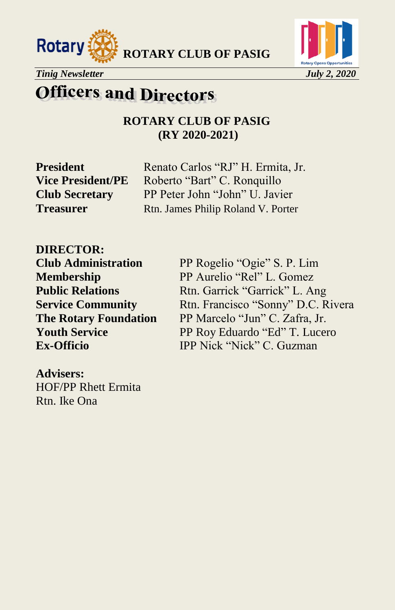





### **Officers and Directors**

#### **ROTARY CLUB OF PASIG (RY 2020-2021)**

**President** Renato Carlos "RJ" H. Ermita, Jr. **Vice President/PE** Roberto "Bart" C. Ronquillo **Club Secretary** PP Peter John "John" U. Javier **Treasurer** Rtn. James Philip Roland V. Porter

**DIRECTOR: Club Administration** PP Rogelio "Ogie" S. P. Lim

**Membership** PP Aurelio "Rel" L. Gomez **Public Relations** Rtn. Garrick "Garrick" L. Ang **Service Community** Rtn. Francisco "Sonny" D.C. Rivera **The Rotary Foundation** PP Marcelo "Jun" C. Zafra, Jr. **Youth Service** PP Roy Eduardo "Ed" T. Lucero **Ex-Officio IPP Nick "Nick" C. Guzman** 

**Advisers:**  HOF/PP Rhett Ermita Rtn. Ike Ona